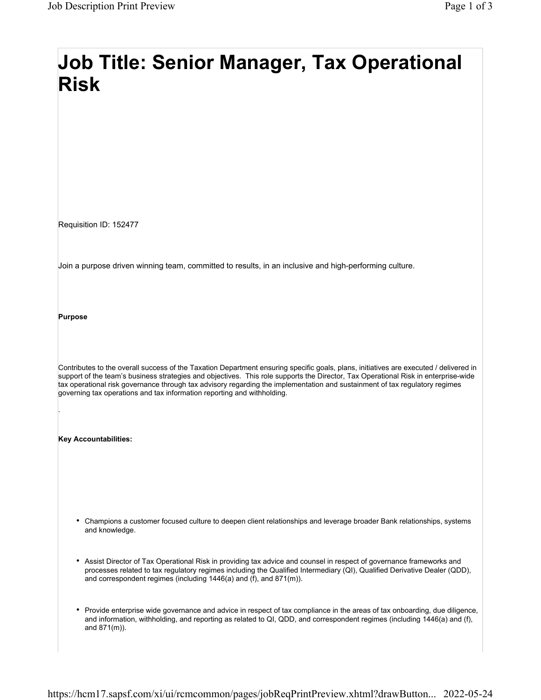## Job Title: Senior Manager, Tax Operational Risk

Requisition ID: 152477

Join a purpose driven winning team, committed to results, in an inclusive and high-performing culture.

Purpose

.

Contributes to the overall success of the Taxation Department ensuring specific goals, plans, initiatives are executed / delivered in support of the team's business strategies and objectives. This role supports the Director, Tax Operational Risk in enterprise-wide tax operational risk governance through tax advisory regarding the implementation and sustainment of tax regulatory regimes governing tax operations and tax information reporting and withholding.

Key Accountabilities:

- Champions a customer focused culture to deepen client relationships and leverage broader Bank relationships, systems and knowledge.
- Assist Director of Tax Operational Risk in providing tax advice and counsel in respect of governance frameworks and processes related to tax regulatory regimes including the Qualified Intermediary (QI), Qualified Derivative Dealer (QDD), and correspondent regimes (including 1446(a) and (f), and 871(m)).
- Provide enterprise wide governance and advice in respect of tax compliance in the areas of tax onboarding, due diligence, and information, withholding, and reporting as related to QI, QDD, and correspondent regimes (including 1446(a) and (f), and 871(m)).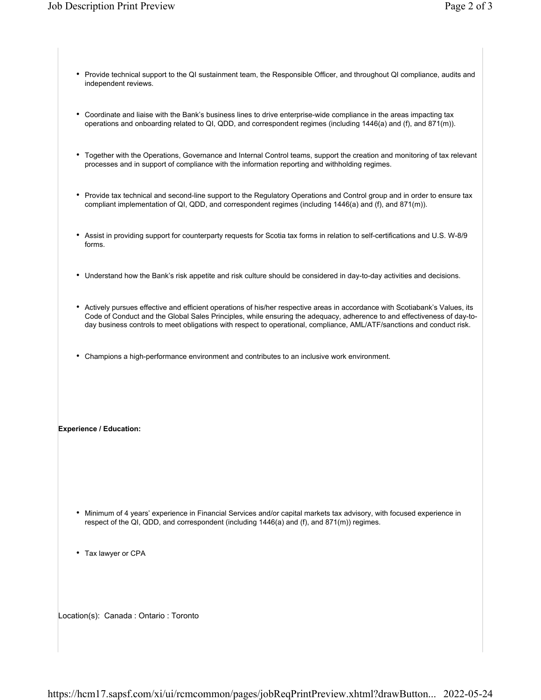- Provide technical support to the QI sustainment team, the Responsible Officer, and throughout QI compliance, audits and independent reviews.
- Coordinate and liaise with the Bank's business lines to drive enterprise-wide compliance in the areas impacting tax operations and onboarding related to QI, QDD, and correspondent regimes (including 1446(a) and (f), and 871(m)).
- Together with the Operations, Governance and Internal Control teams, support the creation and monitoring of tax relevant processes and in support of compliance with the information reporting and withholding regimes.
- Provide tax technical and second-line support to the Regulatory Operations and Control group and in order to ensure tax compliant implementation of QI, QDD, and correspondent regimes (including 1446(a) and (f), and 871(m)).
- Assist in providing support for counterparty requests for Scotia tax forms in relation to self-certifications and U.S. W-8/9 forms.
- Understand how the Bank's risk appetite and risk culture should be considered in day-to-day activities and decisions.
- Actively pursues effective and efficient operations of his/her respective areas in accordance with Scotiabank's Values, its Code of Conduct and the Global Sales Principles, while ensuring the adequacy, adherence to and effectiveness of day-today business controls to meet obligations with respect to operational, compliance, AML/ATF/sanctions and conduct risk.
- Champions a high-performance environment and contributes to an inclusive work environment.

## Experience / Education:

- Minimum of 4 years' experience in Financial Services and/or capital markets tax advisory, with focused experience in respect of the QI, QDD, and correspondent (including 1446(a) and (f), and 871(m)) regimes.
- Tax lawyer or CPA

Location(s): Canada : Ontario : Toronto